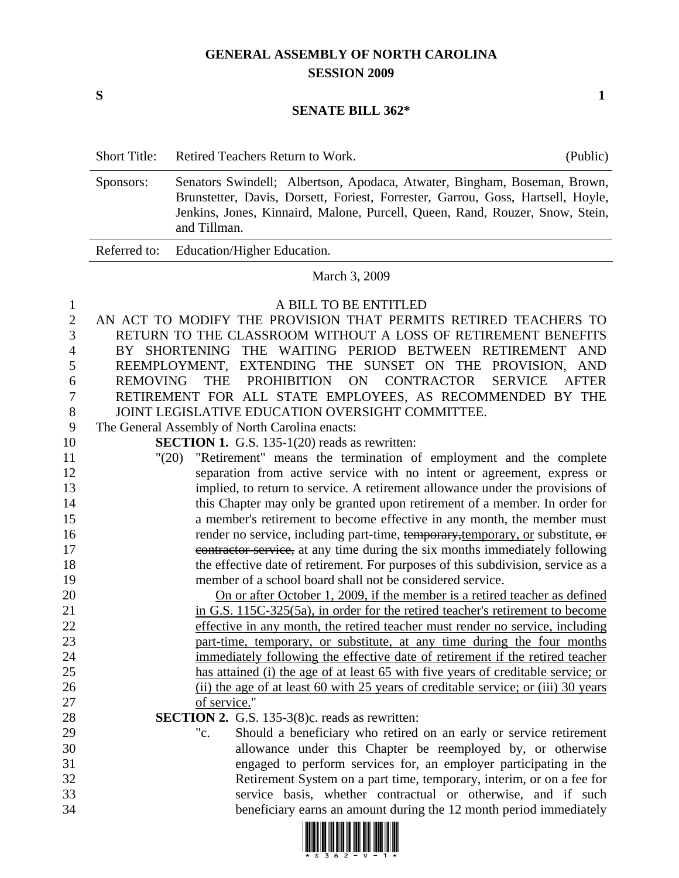## **GENERAL ASSEMBLY OF NORTH CAROLINA SESSION 2009**

## **SENATE BILL 362\***

|                                                     | <b>Short Title:</b> | Retired Teachers Return to Work.                                                                                                                                                                                                                                                                                                                                                                                                                                        | (Public)                   |  |  |
|-----------------------------------------------------|---------------------|-------------------------------------------------------------------------------------------------------------------------------------------------------------------------------------------------------------------------------------------------------------------------------------------------------------------------------------------------------------------------------------------------------------------------------------------------------------------------|----------------------------|--|--|
|                                                     | Sponsors:           | Senators Swindell; Albertson, Apodaca, Atwater, Bingham, Boseman, Brown,<br>Brunstetter, Davis, Dorsett, Foriest, Forrester, Garrou, Goss, Hartsell, Hoyle,<br>Jenkins, Jones, Kinnaird, Malone, Purcell, Queen, Rand, Rouzer, Snow, Stein,<br>and Tillman.                                                                                                                                                                                                             |                            |  |  |
|                                                     | Referred to:        | Education/Higher Education.                                                                                                                                                                                                                                                                                                                                                                                                                                             |                            |  |  |
|                                                     | March 3, 2009       |                                                                                                                                                                                                                                                                                                                                                                                                                                                                         |                            |  |  |
| 1<br>$\mathbf{2}$<br>3<br>4<br>5<br>6<br>7<br>$8\,$ | <b>REMOVING</b>     | A BILL TO BE ENTITLED<br>AN ACT TO MODIFY THE PROVISION THAT PERMITS RETIRED TEACHERS TO<br>RETURN TO THE CLASSROOM WITHOUT A LOSS OF RETIREMENT BENEFITS<br>BY SHORTENING THE WAITING PERIOD BETWEEN RETIREMENT<br>REEMPLOYMENT, EXTENDING THE SUNSET ON THE PROVISION, AND<br>ON<br><b>CONTRACTOR</b><br><b>THE</b><br>PROHIBITION<br><b>SERVICE</b><br>RETIREMENT FOR ALL STATE EMPLOYEES, AS RECOMMENDED BY THE<br>JOINT LEGISLATIVE EDUCATION OVERSIGHT COMMITTEE. | <b>AND</b><br><b>AFTER</b> |  |  |
| 9                                                   |                     | The General Assembly of North Carolina enacts:                                                                                                                                                                                                                                                                                                                                                                                                                          |                            |  |  |
| 10                                                  |                     | <b>SECTION 1.</b> G.S. 135-1(20) reads as rewritten:                                                                                                                                                                                                                                                                                                                                                                                                                    |                            |  |  |
| 11<br>12                                            |                     | "Retirement" means the termination of employment and the complete<br>"(20)                                                                                                                                                                                                                                                                                                                                                                                              |                            |  |  |
| 13                                                  |                     | separation from active service with no intent or agreement, express or<br>implied, to return to service. A retirement allowance under the provisions of                                                                                                                                                                                                                                                                                                                 |                            |  |  |
| 14                                                  |                     | this Chapter may only be granted upon retirement of a member. In order for                                                                                                                                                                                                                                                                                                                                                                                              |                            |  |  |
| 15                                                  |                     | a member's retirement to become effective in any month, the member must                                                                                                                                                                                                                                                                                                                                                                                                 |                            |  |  |
| 16                                                  |                     | render no service, including part-time, temporary, temporary, or substitute, or                                                                                                                                                                                                                                                                                                                                                                                         |                            |  |  |
| 17                                                  |                     | contractor service, at any time during the six months immediately following                                                                                                                                                                                                                                                                                                                                                                                             |                            |  |  |
| 18                                                  |                     | the effective date of retirement. For purposes of this subdivision, service as a                                                                                                                                                                                                                                                                                                                                                                                        |                            |  |  |
| 19                                                  |                     | member of a school board shall not be considered service.                                                                                                                                                                                                                                                                                                                                                                                                               |                            |  |  |
| 20                                                  |                     | <u>On or after October 1, 2009, if the member is a retired teacher as defined</u>                                                                                                                                                                                                                                                                                                                                                                                       |                            |  |  |
| 21                                                  |                     | in G.S. 115C-325(5a), in order for the retired teacher's retirement to become                                                                                                                                                                                                                                                                                                                                                                                           |                            |  |  |
| 22                                                  |                     | effective in any month, the retired teacher must render no service, including                                                                                                                                                                                                                                                                                                                                                                                           |                            |  |  |
| 23                                                  |                     | part-time, temporary, or substitute, at any time during the four months                                                                                                                                                                                                                                                                                                                                                                                                 |                            |  |  |
| 24                                                  |                     | immediately following the effective date of retirement if the retired teacher                                                                                                                                                                                                                                                                                                                                                                                           |                            |  |  |
| 25                                                  |                     | has attained (i) the age of at least 65 with five years of creditable service; or                                                                                                                                                                                                                                                                                                                                                                                       |                            |  |  |
| 26<br>$27\,$                                        |                     | (ii) the age of at least 60 with 25 years of creditable service; or (iii) 30 years<br>of service."                                                                                                                                                                                                                                                                                                                                                                      |                            |  |  |
| $28\,$                                              |                     | SECTION 2. G.S. 135-3(8)c. reads as rewritten:                                                                                                                                                                                                                                                                                                                                                                                                                          |                            |  |  |
| 29                                                  |                     | "c.<br>Should a beneficiary who retired on an early or service retirement                                                                                                                                                                                                                                                                                                                                                                                               |                            |  |  |
| 30                                                  |                     | allowance under this Chapter be reemployed by, or otherwise                                                                                                                                                                                                                                                                                                                                                                                                             |                            |  |  |
| 31                                                  |                     | engaged to perform services for, an employer participating in the                                                                                                                                                                                                                                                                                                                                                                                                       |                            |  |  |
| 32                                                  |                     | Retirement System on a part time, temporary, interim, or on a fee for                                                                                                                                                                                                                                                                                                                                                                                                   |                            |  |  |
| 33                                                  |                     | service basis, whether contractual or otherwise, and if such                                                                                                                                                                                                                                                                                                                                                                                                            |                            |  |  |
| 34                                                  |                     | beneficiary earns an amount during the 12 month period immediately                                                                                                                                                                                                                                                                                                                                                                                                      |                            |  |  |



 $S$  1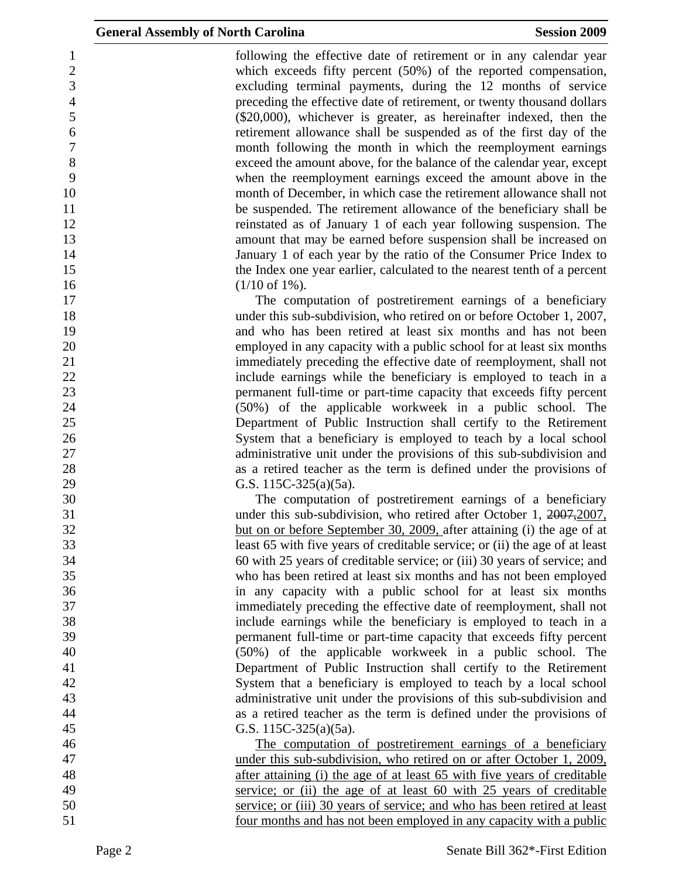1 following the effective date of retirement or in any calendar year 2 which exceeds fifty percent (50%) of the reported compensation, 3 excluding terminal payments, during the 12 months of service 4 preceding the effective date of retirement, or twenty thousand dollars 5 (\$20,000), whichever is greater, as hereinafter indexed, then the 6 retirement allowance shall be suspended as of the first day of the 7 month following the month in which the reemployment earnings 8 exceed the amount above, for the balance of the calendar year, except 9 when the reemployment earnings exceed the amount above in the 10 month of December, in which case the retirement allowance shall not 11 be suspended. The retirement allowance of the beneficiary shall be 12 reinstated as of January 1 of each year following suspension. The 13 amount that may be earned before suspension shall be increased on 14 January 1 of each year by the ratio of the Consumer Price Index to 15 the Index one year earlier, calculated to the nearest tenth of a percent  $16$  (1/10 of 1%).

17 The computation of postretirement earnings of a beneficiary 18 under this sub-subdivision, who retired on or before October 1, 2007, 19 and who has been retired at least six months and has not been 20 employed in any capacity with a public school for at least six months 21 immediately preceding the effective date of reemployment, shall not 22 include earnings while the beneficiary is employed to teach in a 23 permanent full-time or part-time capacity that exceeds fifty percent 24 (50%) of the applicable workweek in a public school. The 25 Department of Public Instruction shall certify to the Retirement 26 System that a beneficiary is employed to teach by a local school 27 administrative unit under the provisions of this sub-subdivision and 28 as a retired teacher as the term is defined under the provisions of 29 G.S. 115C-325(a)(5a).

30 The computation of postretirement earnings of a beneficiary 31 under this sub-subdivision, who retired after October 1, 2007, 2007, 32 but on or before September 30, 2009, after attaining (i) the age of at 33 least 65 with five years of creditable service; or (ii) the age of at least 34 60 with 25 years of creditable service; or (iii) 30 years of service; and 35 who has been retired at least six months and has not been employed 36 in any capacity with a public school for at least six months 37 immediately preceding the effective date of reemployment, shall not 38 include earnings while the beneficiary is employed to teach in a 39 permanent full-time or part-time capacity that exceeds fifty percent 40 (50%) of the applicable workweek in a public school. The 41 Department of Public Instruction shall certify to the Retirement 42 System that a beneficiary is employed to teach by a local school 43 administrative unit under the provisions of this sub-subdivision and 44 as a retired teacher as the term is defined under the provisions of 45 G.S. 115C-325(a)(5a).

46 The computation of postretirement earnings of a beneficiary 47 under this sub-subdivision, who retired on or after October 1, 2009, 48 after attaining (i) the age of at least 65 with five years of creditable 49 service; or (ii) the age of at least 60 with 25 years of creditable 50 service; or (iii) 30 years of service; and who has been retired at least 51 four months and has not been employed in any capacity with a public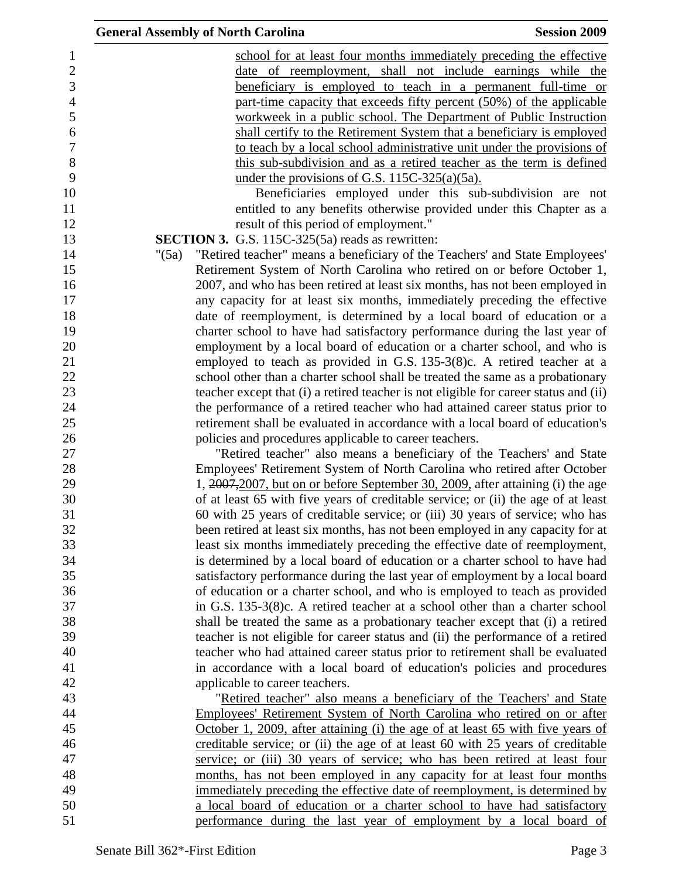| <b>General Assembly of North Carolina</b>                                             | <b>Session 2009</b>                                       |
|---------------------------------------------------------------------------------------|-----------------------------------------------------------|
| school for at least four months immediately preceding the effective                   |                                                           |
| date of reemployment, shall not include earnings while the                            |                                                           |
| beneficiary is employed to teach in a permanent full-time or                          |                                                           |
| part-time capacity that exceeds fifty percent (50%) of the applicable                 |                                                           |
| workweek in a public school. The Department of Public Instruction                     |                                                           |
| shall certify to the Retirement System that a beneficiary is employed                 |                                                           |
| to teach by a local school administrative unit under the provisions of                |                                                           |
| this sub-subdivision and as a retired teacher as the term is defined                  |                                                           |
| under the provisions of G.S. $115C-325(a)(5a)$ .                                      |                                                           |
|                                                                                       | Beneficiaries employed under this sub-subdivision are not |
| entitled to any benefits otherwise provided under this Chapter as a                   |                                                           |
| result of this period of employment."                                                 |                                                           |
| <b>SECTION 3.</b> G.S. 115C-325(5a) reads as rewritten:                               |                                                           |
| "Retired teacher" means a beneficiary of the Teachers' and State Employees'<br>" (5a) |                                                           |
| Retirement System of North Carolina who retired on or before October 1,               |                                                           |
| 2007, and who has been retired at least six months, has not been employed in          |                                                           |
| any capacity for at least six months, immediately preceding the effective             |                                                           |
| date of reemployment, is determined by a local board of education or a                |                                                           |
| charter school to have had satisfactory performance during the last year of           |                                                           |
| employment by a local board of education or a charter school, and who is              |                                                           |
| employed to teach as provided in G.S. 135-3(8)c. A retired teacher at a               |                                                           |
| school other than a charter school shall be treated the same as a probationary        |                                                           |
| teacher except that (i) a retired teacher is not eligible for career status and (ii)  |                                                           |
| the performance of a retired teacher who had attained career status prior to          |                                                           |
| retirement shall be evaluated in accordance with a local board of education's         |                                                           |
| policies and procedures applicable to career teachers.                                |                                                           |
| "Retired teacher" also means a beneficiary of the Teachers' and State                 |                                                           |
| Employees' Retirement System of North Carolina who retired after October              |                                                           |
| 1, 2007, 2007, but on or before September 30, 2009, after attaining (i) the age       |                                                           |
| of at least 65 with five years of creditable service; or (ii) the age of at least     |                                                           |
| 60 with 25 years of creditable service; or (iii) 30 years of service; who has         |                                                           |
| been retired at least six months, has not been employed in any capacity for at        |                                                           |
| least six months immediately preceding the effective date of reemployment,            |                                                           |
| is determined by a local board of education or a charter school to have had           |                                                           |
| satisfactory performance during the last year of employment by a local board          |                                                           |
| of education or a charter school, and who is employed to teach as provided            |                                                           |
| in G.S. 135-3(8)c. A retired teacher at a school other than a charter school          |                                                           |
| shall be treated the same as a probationary teacher except that (i) a retired         |                                                           |
| teacher is not eligible for career status and (ii) the performance of a retired       |                                                           |
| teacher who had attained career status prior to retirement shall be evaluated         |                                                           |
| in accordance with a local board of education's policies and procedures               |                                                           |
| applicable to career teachers.                                                        |                                                           |
| "Retired teacher" also means a beneficiary of the Teachers' and State                 |                                                           |
| Employees' Retirement System of North Carolina who retired on or after                |                                                           |
| <u>October 1, 2009, after attaining (i) the age of at least 65 with five years of</u> |                                                           |
| creditable service; or (ii) the age of at least 60 with 25 years of creditable        |                                                           |
| service; or (iii) 30 years of service; who has been retired at least four             |                                                           |
| months, has not been employed in any capacity for at least four months                |                                                           |
| immediately preceding the effective date of reemployment, is determined by            |                                                           |
| a local board of education or a charter school to have had satisfactory               |                                                           |
| performance during the last year of employment by a local board of                    |                                                           |
|                                                                                       |                                                           |